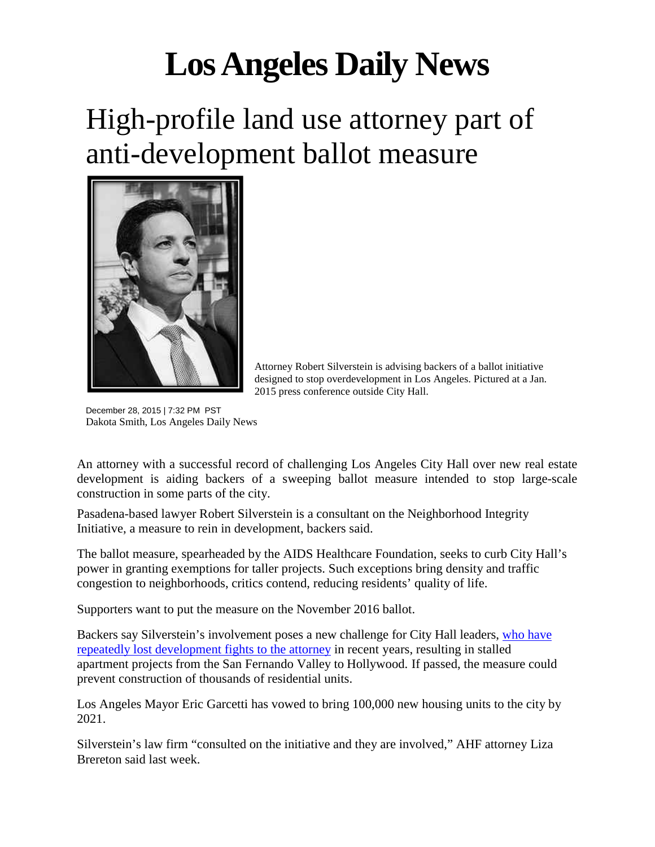## **Los Angeles Daily News**

## High-profile land use attorney part of anti-development ballot measure



Attorney Robert Silverstein is advising backers of a ballot initiative designed to stop overdevelopment in Los Angeles. Pictured at a Jan. 2015 press conference outside City Hall.

December 28, 2015 | 7:32 PM PST Dakota Smith, Los Angeles Daily News

An attorney with a successful record of challenging Los Angeles City Hall over new real estate development is aiding backers of a sweeping ballot measure intended to stop large-scale construction in some parts of the city.

Pasadena-based lawyer Robert Silverstein is a consultant on the Neighborhood Integrity Initiative, a measure to rein in development, backers said.

The ballot measure, spearheaded by the AIDS Healthcare Foundation, seeks to curb City Hall's power in granting exemptions for taller projects. Such exceptions bring density and traffic congestion to neighborhoods, critics contend, reducing residents' quality of life.

Supporters want to put the measure on the November 2016 ballot.

Backers say Silverstein's involvement poses a new challenge for City Hall leaders, [who have](http://www.latimes.com/opinion/op-ed/la-oe-morrison-silverstein-20151014-column.html)  [repeatedly lost development fights to the attorney](http://www.latimes.com/opinion/op-ed/la-oe-morrison-silverstein-20151014-column.html) in recent years, resulting in stalled apartment projects from the San Fernando Valley to Hollywood. If passed, the measure could prevent construction of thousands of residential units.

Los Angeles Mayor Eric Garcetti has vowed to bring 100,000 new housing units to the city by 2021.

Silverstein's law firm "consulted on the initiative and they are involved," AHF attorney Liza Brereton said last week.